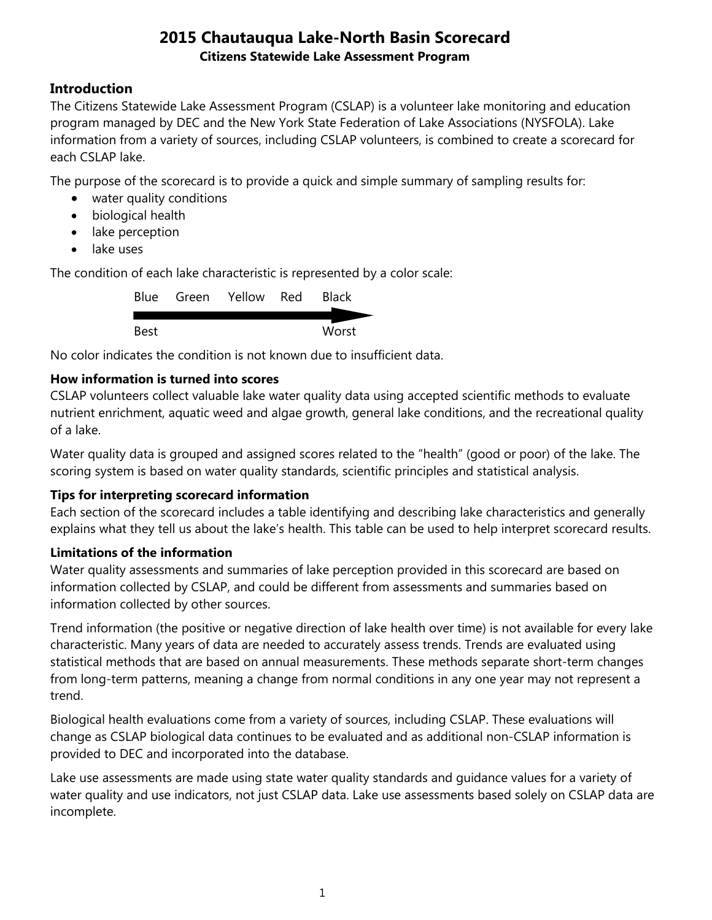## **Introduction**

The Citizens Statewide Lake Assessment Program (CSLAP) is a volunteer lake monitoring and education program managed by DEC and the New York State Federation of Lake Associations (NYSFOLA). Lake information from a variety of sources, including CSLAP volunteers, is combined to create a scorecard for each CSLAP lake.

The purpose of the scorecard is to provide a quick and simple summary of sampling results for:

- water quality conditions
- biological health
- lake perception
- lake uses

The condition of each lake characteristic is represented by a color scale:

|      | Blue Green Yellow Red | <b>Black</b> |
|------|-----------------------|--------------|
|      |                       |              |
| Best |                       | Worst        |

No color indicates the condition is not known due to insufficient data.

## **How information is turned into scores**

CSLAP volunteers collect valuable lake water quality data using accepted scientific methods to evaluate nutrient enrichment, aquatic weed and algae growth, general lake conditions, and the recreational quality of a lake.

Water quality data is grouped and assigned scores related to the "health" (good or poor) of the lake. The scoring system is based on water quality standards, scientific principles and statistical analysis.

### **Tips for interpreting scorecard information**

Each section of the scorecard includes a table identifying and describing lake characteristics and generally explains what they tell us about the lake's health. This table can be used to help interpret scorecard results.

### **Limitations of the information**

Water quality assessments and summaries of lake perception provided in this scorecard are based on information collected by CSLAP, and could be different from assessments and summaries based on information collected by other sources.

Trend information (the positive or negative direction of lake health over time) is not available for every lake characteristic. Many years of data are needed to accurately assess trends. Trends are evaluated using statistical methods that are based on annual measurements. These methods separate short-term changes from long-term patterns, meaning a change from normal conditions in any one year may not represent a trend.

Biological health evaluations come from a variety of sources, including CSLAP. These evaluations will change as CSLAP biological data continues to be evaluated and as additional non-CSLAP information is provided to DEC and incorporated into the database.

Lake use assessments are made using state water quality standards and guidance values for a variety of water quality and use indicators, not just CSLAP data. Lake use assessments based solely on CSLAP data are incomplete.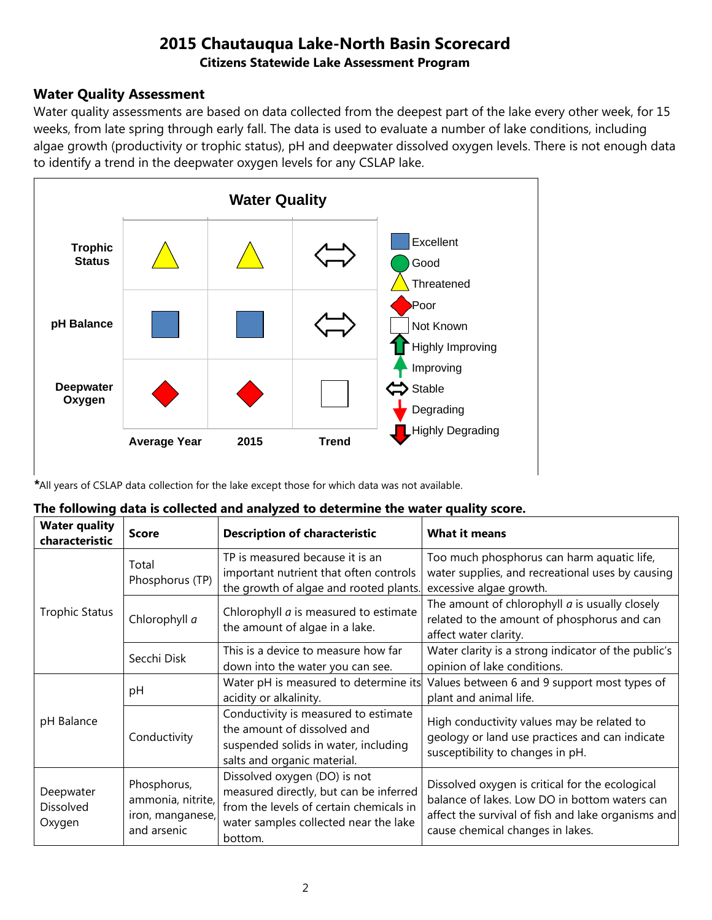#### **Water Quality Assessment**

Water quality assessments are based on data collected from the deepest part of the lake every other week, for 15 weeks, from late spring through early fall. The data is used to evaluate a number of lake conditions, including algae growth (productivity or trophic status), pH and deepwater dissolved oxygen levels. There is not enough data to identify a trend in the deepwater oxygen levels for any CSLAP lake.



*\**All years of CSLAP data collection for the lake except those for which data was not available.

#### **The following data is collected and analyzed to determine the water quality score.**

| <b>Water quality</b><br>characteristic  | <b>Score</b>                                                        | <b>Description of characteristic</b>                                                                                                                                  | <b>What it means</b>                                                                                                                                                                       |
|-----------------------------------------|---------------------------------------------------------------------|-----------------------------------------------------------------------------------------------------------------------------------------------------------------------|--------------------------------------------------------------------------------------------------------------------------------------------------------------------------------------------|
|                                         | Total<br>Phosphorus (TP)                                            | TP is measured because it is an<br>important nutrient that often controls<br>the growth of algae and rooted plants.                                                   | Too much phosphorus can harm aquatic life,<br>water supplies, and recreational uses by causing<br>excessive algae growth.                                                                  |
| <b>Trophic Status</b>                   | Chlorophyll a                                                       | Chlorophyll <i>a</i> is measured to estimate<br>the amount of algae in a lake.                                                                                        | The amount of chlorophyll $a$ is usually closely<br>related to the amount of phosphorus and can<br>affect water clarity.                                                                   |
|                                         | Secchi Disk                                                         | This is a device to measure how far<br>down into the water you can see.                                                                                               | Water clarity is a strong indicator of the public's<br>opinion of lake conditions.                                                                                                         |
|                                         | рH                                                                  | Water pH is measured to determine its<br>acidity or alkalinity.                                                                                                       | Values between 6 and 9 support most types of<br>plant and animal life.                                                                                                                     |
| pH Balance                              | Conductivity                                                        | Conductivity is measured to estimate<br>the amount of dissolved and<br>suspended solids in water, including<br>salts and organic material.                            | High conductivity values may be related to<br>geology or land use practices and can indicate<br>susceptibility to changes in pH.                                                           |
| Deepwater<br><b>Dissolved</b><br>Oxygen | Phosphorus,<br>ammonia, nitrite,<br>iron, manganese,<br>and arsenic | Dissolved oxygen (DO) is not<br>measured directly, but can be inferred<br>from the levels of certain chemicals in<br>water samples collected near the lake<br>bottom. | Dissolved oxygen is critical for the ecological<br>balance of lakes. Low DO in bottom waters can<br>affect the survival of fish and lake organisms and<br>cause chemical changes in lakes. |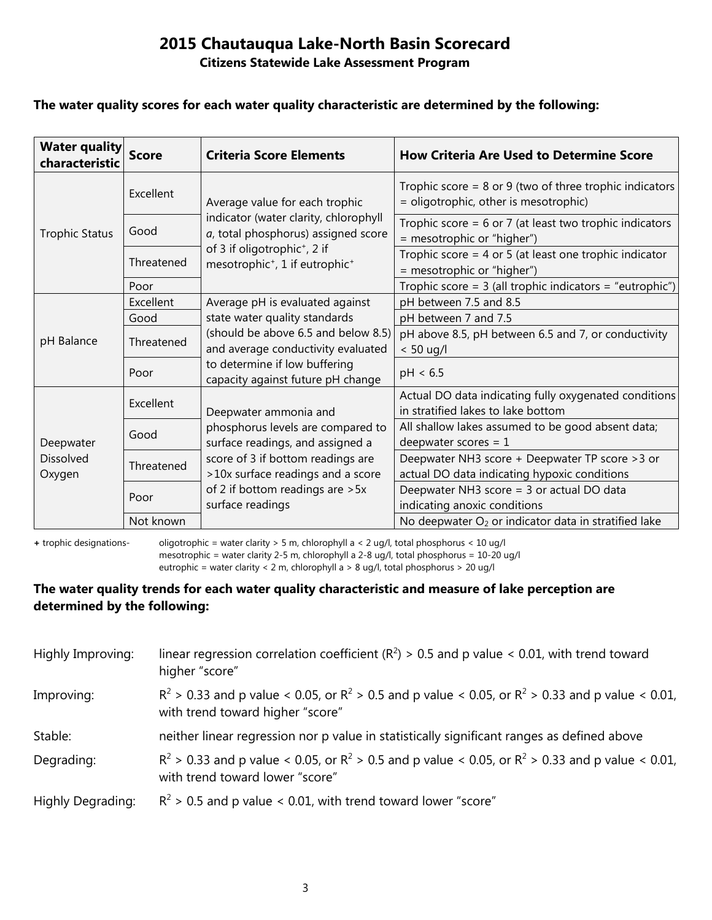#### **Citizens Statewide Lake Assessment Program**

#### **The water quality scores for each water quality characteristic are determined by the following:**

| <b>Water quality</b><br>characteristic | <b>Score</b> | <b>Criteria Score Elements</b>                                                                                 | <b>How Criteria Are Used to Determine Score</b>                                                      |
|----------------------------------------|--------------|----------------------------------------------------------------------------------------------------------------|------------------------------------------------------------------------------------------------------|
| <b>Trophic Status</b>                  | Excellent    | Average value for each trophic<br>indicator (water clarity, chlorophyll<br>a, total phosphorus) assigned score | Trophic score = $8$ or $9$ (two of three trophic indicators<br>= oligotrophic, other is mesotrophic) |
|                                        | Good         |                                                                                                                | Trophic score = $6$ or 7 (at least two trophic indicators<br>= mesotrophic or "higher")              |
|                                        | Threatened   | of 3 if oligotrophic <sup>+</sup> , 2 if<br>mesotrophic <sup>+</sup> , 1 if eutrophic <sup>+</sup>             | Trophic score = $4$ or $5$ (at least one trophic indicator<br>= mesotrophic or "higher")             |
|                                        | Poor         |                                                                                                                | Trophic score = $3$ (all trophic indicators = "eutrophic")                                           |
|                                        | Excellent    | Average pH is evaluated against                                                                                | pH between 7.5 and 8.5                                                                               |
|                                        | Good         | state water quality standards                                                                                  | pH between 7 and 7.5                                                                                 |
| pH Balance                             | Threatened   | (should be above 6.5 and below 8.5)<br>and average conductivity evaluated                                      | pH above 8.5, pH between 6.5 and 7, or conductivity<br>$< 50$ ug/l                                   |
|                                        | Poor         | to determine if low buffering<br>capacity against future pH change                                             | pH < 6.5                                                                                             |
| Deepwater<br>Dissolved<br>Oxygen       | Excellent    | Deepwater ammonia and                                                                                          | Actual DO data indicating fully oxygenated conditions<br>in stratified lakes to lake bottom          |
|                                        | Good         | phosphorus levels are compared to<br>surface readings, and assigned a                                          | All shallow lakes assumed to be good absent data;<br>deepwater scores = $1$                          |
|                                        | Threatened   | score of 3 if bottom readings are<br>>10x surface readings and a score                                         | Deepwater NH3 score + Deepwater TP score > 3 or<br>actual DO data indicating hypoxic conditions      |
|                                        | Poor         | of 2 if bottom readings are > 5x<br>surface readings                                                           | Deepwater NH3 score = 3 or actual DO data<br>indicating anoxic conditions                            |
|                                        | Not known    |                                                                                                                | No deepwater O <sub>2</sub> or indicator data in stratified lake                                     |

**+** trophic designations- oligotrophic = water clarity > 5 m, chlorophyll a < 2 ug/l, total phosphorus < 10 ug/l mesotrophic = water clarity 2-5 m, chlorophyll a 2-8 ug/l, total phosphorus = 10-20 ug/l

eutrophic = water clarity < 2 m, chlorophyll a > 8 ug/l, total phosphorus > 20 ug/l

#### **The water quality trends for each water quality characteristic and measure of lake perception are determined by the following:**

| Highly Improving: | linear regression correlation coefficient ( $R^2$ ) > 0.5 and p value < 0.01, with trend toward<br>higher "score"                           |
|-------------------|---------------------------------------------------------------------------------------------------------------------------------------------|
| Improving:        | $R^2 > 0.33$ and p value < 0.05, or $R^2 > 0.5$ and p value < 0.05, or $R^2 > 0.33$ and p value < 0.01,<br>with trend toward higher "score" |
| Stable:           | neither linear regression nor p value in statistically significant ranges as defined above                                                  |
| Degrading:        | $R^2 > 0.33$ and p value < 0.05, or $R^2 > 0.5$ and p value < 0.05, or $R^2 > 0.33$ and p value < 0.01,<br>with trend toward lower "score"  |
| Highly Degrading: | $R^2$ > 0.5 and p value < 0.01, with trend toward lower "score"                                                                             |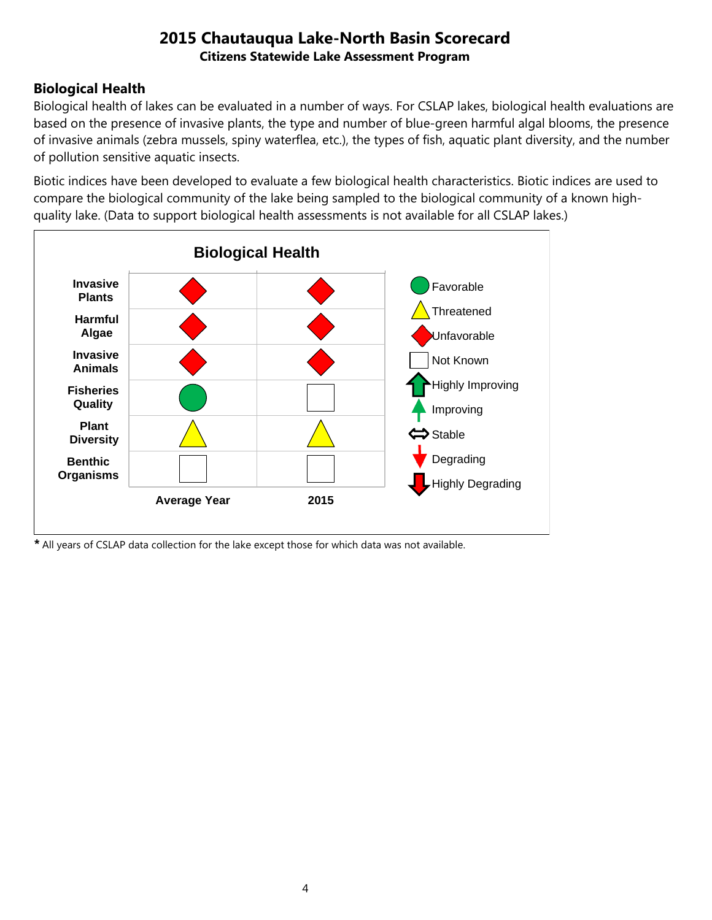## **Biological Health**

Biological health of lakes can be evaluated in a number of ways. For CSLAP lakes, biological health evaluations are based on the presence of invasive plants, the type and number of blue-green harmful algal blooms, the presence of invasive animals (zebra mussels, spiny waterflea, etc.), the types of fish, aquatic plant diversity, and the number of pollution sensitive aquatic insects.

Biotic indices have been developed to evaluate a few biological health characteristics. Biotic indices are used to compare the biological community of the lake being sampled to the biological community of a known highquality lake. (Data to support biological health assessments is not available for all CSLAP lakes.)



*\** All years of CSLAP data collection for the lake except those for which data was not available.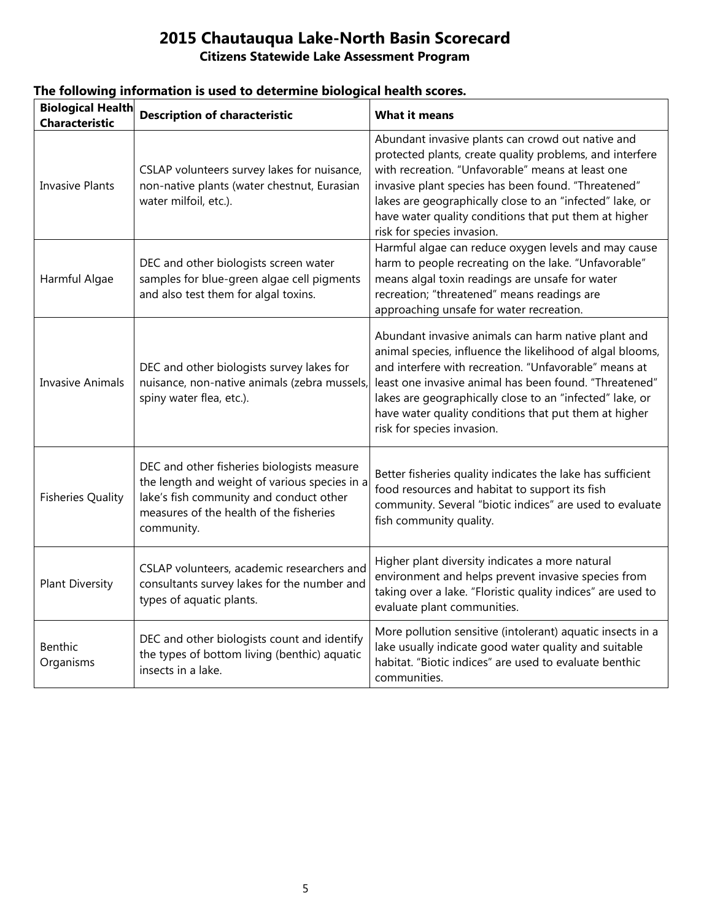## **Citizens Statewide Lake Assessment Program**

| <b>Biological Health</b><br><b>Characteristic</b> | <b>Description of characteristic</b>                                                                                                                                                            | <b>What it means</b>                                                                                                                                                                                                                                                                                                                                                                   |
|---------------------------------------------------|-------------------------------------------------------------------------------------------------------------------------------------------------------------------------------------------------|----------------------------------------------------------------------------------------------------------------------------------------------------------------------------------------------------------------------------------------------------------------------------------------------------------------------------------------------------------------------------------------|
| <b>Invasive Plants</b>                            | CSLAP volunteers survey lakes for nuisance,<br>non-native plants (water chestnut, Eurasian<br>water milfoil, etc.).                                                                             | Abundant invasive plants can crowd out native and<br>protected plants, create quality problems, and interfere<br>with recreation. "Unfavorable" means at least one<br>invasive plant species has been found. "Threatened"<br>lakes are geographically close to an "infected" lake, or<br>have water quality conditions that put them at higher<br>risk for species invasion.           |
| Harmful Algae                                     | DEC and other biologists screen water<br>samples for blue-green algae cell pigments<br>and also test them for algal toxins.                                                                     | Harmful algae can reduce oxygen levels and may cause<br>harm to people recreating on the lake. "Unfavorable"<br>means algal toxin readings are unsafe for water<br>recreation; "threatened" means readings are<br>approaching unsafe for water recreation.                                                                                                                             |
| <b>Invasive Animals</b>                           | DEC and other biologists survey lakes for<br>nuisance, non-native animals (zebra mussels,<br>spiny water flea, etc.).                                                                           | Abundant invasive animals can harm native plant and<br>animal species, influence the likelihood of algal blooms,<br>and interfere with recreation. "Unfavorable" means at<br>least one invasive animal has been found. "Threatened"<br>lakes are geographically close to an "infected" lake, or<br>have water quality conditions that put them at higher<br>risk for species invasion. |
| <b>Fisheries Quality</b>                          | DEC and other fisheries biologists measure<br>the length and weight of various species in a<br>lake's fish community and conduct other<br>measures of the health of the fisheries<br>community. | Better fisheries quality indicates the lake has sufficient<br>food resources and habitat to support its fish<br>community. Several "biotic indices" are used to evaluate<br>fish community quality.                                                                                                                                                                                    |
| <b>Plant Diversity</b>                            | CSLAP volunteers, academic researchers and<br>consultants survey lakes for the number and<br>types of aquatic plants.                                                                           | Higher plant diversity indicates a more natural<br>environment and helps prevent invasive species from<br>taking over a lake. "Floristic quality indices" are used to<br>evaluate plant communities.                                                                                                                                                                                   |
| Benthic<br>Organisms                              | DEC and other biologists count and identify<br>the types of bottom living (benthic) aquatic<br>insects in a lake.                                                                               | More pollution sensitive (intolerant) aquatic insects in a<br>lake usually indicate good water quality and suitable<br>habitat. "Biotic indices" are used to evaluate benthic<br>communities.                                                                                                                                                                                          |

#### **The following information is used to determine biological health scores.**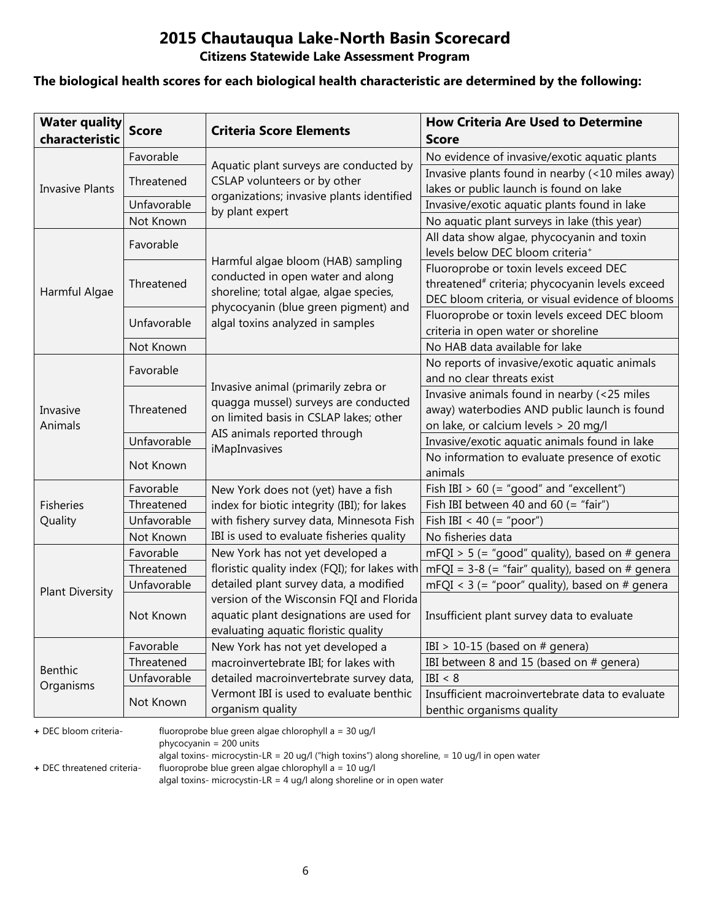**Citizens Statewide Lake Assessment Program**

#### **The biological health scores for each biological health characteristic are determined by the following:**

| <b>Water quality</b><br>characteristic | <b>Score</b> | <b>Criteria Score Elements</b>                                                                                        | <b>How Criteria Are Used to Determine</b><br><b>Score</b>   |
|----------------------------------------|--------------|-----------------------------------------------------------------------------------------------------------------------|-------------------------------------------------------------|
|                                        | Favorable    |                                                                                                                       | No evidence of invasive/exotic aquatic plants               |
|                                        |              | Aquatic plant surveys are conducted by<br>CSLAP volunteers or by other                                                | Invasive plants found in nearby (<10 miles away)            |
| <b>Invasive Plants</b>                 | Threatened   | organizations; invasive plants identified                                                                             | lakes or public launch is found on lake                     |
|                                        | Unfavorable  | by plant expert                                                                                                       | Invasive/exotic aquatic plants found in lake                |
|                                        | Not Known    |                                                                                                                       | No aquatic plant surveys in lake (this year)                |
|                                        | Favorable    |                                                                                                                       | All data show algae, phycocyanin and toxin                  |
|                                        |              | Harmful algae bloom (HAB) sampling                                                                                    | levels below DEC bloom criteria <sup>+</sup>                |
|                                        |              | conducted in open water and along                                                                                     | Fluoroprobe or toxin levels exceed DEC                      |
| Harmful Algae                          | Threatened   | shoreline; total algae, algae species,                                                                                | threatened <sup>#</sup> criteria; phycocyanin levels exceed |
|                                        |              | phycocyanin (blue green pigment) and                                                                                  | DEC bloom criteria, or visual evidence of blooms            |
|                                        | Unfavorable  | algal toxins analyzed in samples                                                                                      | Fluoroprobe or toxin levels exceed DEC bloom                |
|                                        |              |                                                                                                                       | criteria in open water or shoreline                         |
|                                        | Not Known    |                                                                                                                       | No HAB data available for lake                              |
|                                        | Favorable    |                                                                                                                       | No reports of invasive/exotic aquatic animals               |
|                                        |              | Invasive animal (primarily zebra or<br>quagga mussel) surveys are conducted<br>on limited basis in CSLAP lakes; other | and no clear threats exist                                  |
|                                        | Threatened   |                                                                                                                       | Invasive animals found in nearby (<25 miles                 |
| Invasive                               |              |                                                                                                                       | away) waterbodies AND public launch is found                |
| Animals                                |              | AIS animals reported through                                                                                          | on lake, or calcium levels > 20 mg/l                        |
|                                        | Unfavorable  | iMapInvasives                                                                                                         | Invasive/exotic aquatic animals found in lake               |
|                                        | Not Known    |                                                                                                                       | No information to evaluate presence of exotic               |
|                                        |              |                                                                                                                       | animals                                                     |
|                                        | Favorable    | New York does not (yet) have a fish                                                                                   | Fish IBI $> 60$ (= "good" and "excellent")                  |
| <b>Fisheries</b>                       | Threatened   | index for biotic integrity (IBI); for lakes                                                                           | Fish IBI between 40 and 60 (= "fair")                       |
| Quality                                | Unfavorable  | with fishery survey data, Minnesota Fish                                                                              | Fish IBI < 40 (= "poor")                                    |
|                                        | Not Known    | IBI is used to evaluate fisheries quality                                                                             | No fisheries data                                           |
|                                        | Favorable    | New York has not yet developed a                                                                                      | $mFQI > 5$ (= "good" quality), based on # genera            |
|                                        | Threatened   | floristic quality index (FQI); for lakes with                                                                         | mFQI = $3-8$ (= "fair" quality), based on # genera          |
| <b>Plant Diversity</b>                 | Unfavorable  | detailed plant survey data, a modified                                                                                | mFQI < $3$ (= "poor" quality), based on # genera            |
|                                        |              | version of the Wisconsin FQI and Florida                                                                              |                                                             |
|                                        | Not Known    | aquatic plant designations are used for                                                                               | Insufficient plant survey data to evaluate                  |
|                                        |              | evaluating aquatic floristic quality                                                                                  |                                                             |
|                                        | Favorable    | New York has not yet developed a                                                                                      | IBI > 10-15 (based on $#$ genera)                           |
| Benthic                                | Threatened   | macroinvertebrate IBI; for lakes with                                                                                 | IBI between 8 and 15 (based on # genera)                    |
| Organisms                              | Unfavorable  | detailed macroinvertebrate survey data,                                                                               | IBI < 8                                                     |
|                                        | Not Known    | Vermont IBI is used to evaluate benthic                                                                               | Insufficient macroinvertebrate data to evaluate             |
|                                        |              | organism quality                                                                                                      | benthic organisms quality                                   |

**+** DEC bloom criteria- fluoroprobe blue green algae chlorophyll a = 30 ug/l

phycocyanin = 200 units

algal toxins- microcystin-LR = 20 ug/l ("high toxins") along shoreline, = 10 ug/l in open water

**+** DEC threatened criteria- fluoroprobe blue green algae chlorophyll a = 10 ug/l

algal toxins- microcystin-LR = 4 ug/l along shoreline or in open water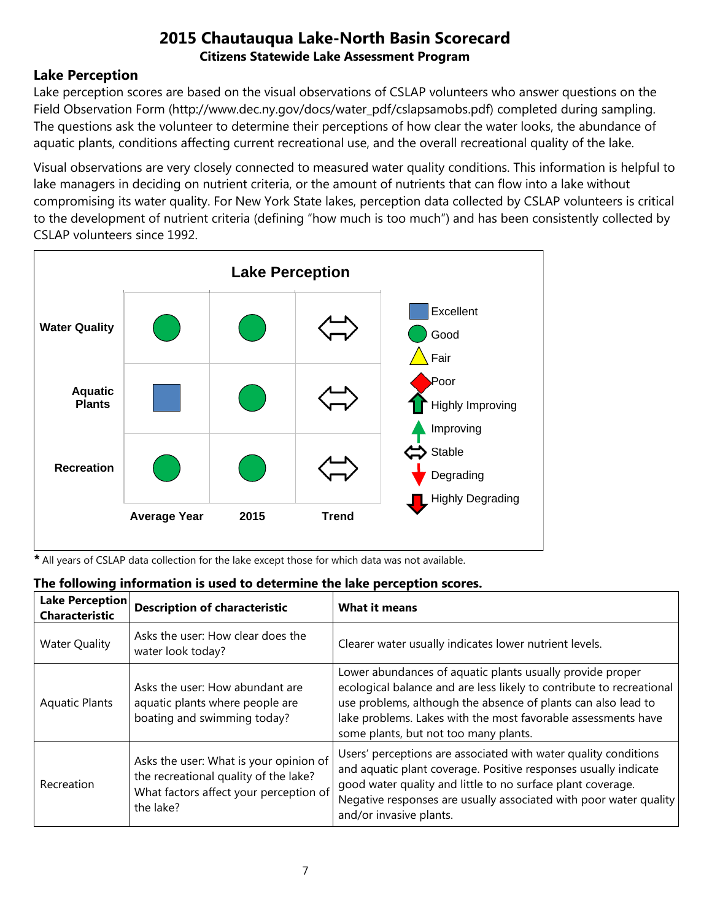### **Lake Perception**

Lake perception scores are based on the visual observations of CSLAP volunteers who answer questions on the Field Observation Form (http://www.dec.ny.gov/docs/water\_pdf/cslapsamobs.pdf) completed during sampling. The questions ask the volunteer to determine their perceptions of how clear the water looks, the abundance of aquatic plants, conditions affecting current recreational use, and the overall recreational quality of the lake.

Visual observations are very closely connected to measured water quality conditions. This information is helpful to lake managers in deciding on nutrient criteria, or the amount of nutrients that can flow into a lake without compromising its water quality. For New York State lakes, perception data collected by CSLAP volunteers is critical to the development of nutrient criteria (defining "how much is too much") and has been consistently collected by CSLAP volunteers since 1992.



*\** All years of CSLAP data collection for the lake except those for which data was not available.

#### **The following information is used to determine the lake perception scores.**

| Lake Perception<br><b>Characteristic</b> | <b>Description of characteristic</b>                                                                                                   | <b>What it means</b>                                                                                                                                                                                                                                                                                         |
|------------------------------------------|----------------------------------------------------------------------------------------------------------------------------------------|--------------------------------------------------------------------------------------------------------------------------------------------------------------------------------------------------------------------------------------------------------------------------------------------------------------|
| <b>Water Quality</b>                     | Asks the user: How clear does the<br>water look today?                                                                                 | Clearer water usually indicates lower nutrient levels.                                                                                                                                                                                                                                                       |
| <b>Aquatic Plants</b>                    | Asks the user: How abundant are<br>aquatic plants where people are<br>boating and swimming today?                                      | Lower abundances of aquatic plants usually provide proper<br>ecological balance and are less likely to contribute to recreational<br>use problems, although the absence of plants can also lead to<br>lake problems. Lakes with the most favorable assessments have<br>some plants, but not too many plants. |
| Recreation                               | Asks the user: What is your opinion of<br>the recreational quality of the lake?<br>What factors affect your perception of<br>the lake? | Users' perceptions are associated with water quality conditions<br>and aquatic plant coverage. Positive responses usually indicate<br>good water quality and little to no surface plant coverage.<br>Negative responses are usually associated with poor water quality<br>and/or invasive plants.            |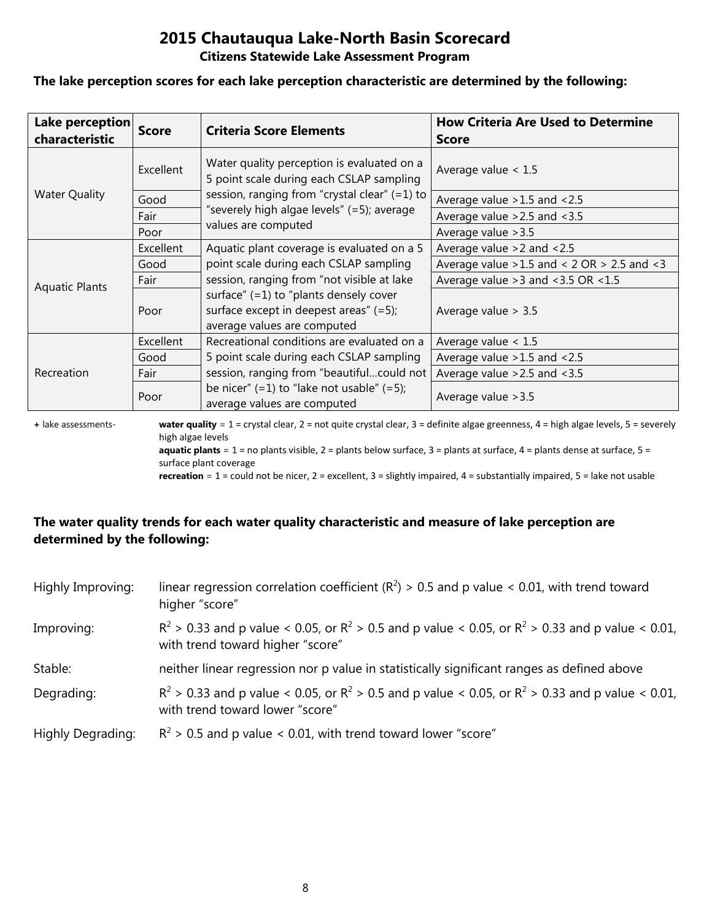#### **Citizens Statewide Lake Assessment Program**

#### **The lake perception scores for each lake perception characteristic are determined by the following:**

| Lake perception<br>characteristic | <b>Score</b> | <b>Criteria Score Elements</b>                                                                                       | <b>How Criteria Are Used to Determine</b><br><b>Score</b> |
|-----------------------------------|--------------|----------------------------------------------------------------------------------------------------------------------|-----------------------------------------------------------|
|                                   | Excellent    | Water quality perception is evaluated on a<br>5 point scale during each CSLAP sampling                               | Average value $< 1.5$                                     |
| <b>Water Quality</b>              | Good         | session, ranging from "crystal clear" (=1) to                                                                        | Average value $>1.5$ and $<2.5$                           |
|                                   | Fair         | "severely high algae levels" (=5); average                                                                           | Average value $>2.5$ and $<3.5$                           |
|                                   | Poor         | values are computed                                                                                                  | Average value > 3.5                                       |
|                                   | Excellent    | Aquatic plant coverage is evaluated on a 5                                                                           | Average value $>2$ and $< 2.5$                            |
|                                   | Good         | point scale during each CSLAP sampling                                                                               | Average value $>1.5$ and < 2 OR $> 2.5$ and < 3           |
| <b>Aquatic Plants</b>             | Fair         | session, ranging from "not visible at lake                                                                           | Average value $>3$ and $<3.5$ OR $<1.5$                   |
|                                   | Poor         | surface" $(=1)$ to "plants densely cover<br>surface except in deepest areas" $(=5)$ ;<br>average values are computed | Average value $> 3.5$                                     |
|                                   | Excellent    | Recreational conditions are evaluated on a                                                                           | Average value $< 1.5$                                     |
| Recreation                        | Good         | 5 point scale during each CSLAP sampling                                                                             | Average value $>1.5$ and $<2.5$                           |
|                                   | Fair         | session, ranging from "beautifulcould not                                                                            | Average value $>2.5$ and $<3.5$                           |
|                                   | Poor         | be nicer" $(=1)$ to "lake not usable" $(=5)$ ;<br>average values are computed                                        | Average value > 3.5                                       |

**+** lake assessments- **water quality** = 1 = crystal clear, 2 = not quite crystal clear, 3 = definite algae greenness, 4 = high algae levels, 5 = severely high algae levels **aquatic plants** = 1 = no plants visible, 2 = plants below surface, 3 = plants at surface, 4 = plants dense at surface, 5 =

surface plant coverage

**recreation** = 1 = could not be nicer, 2 = excellent, 3 = slightly impaired, 4 = substantially impaired, 5 = lake not usable

### **The water quality trends for each water quality characteristic and measure of lake perception are determined by the following:**

| Highly Improving: | linear regression correlation coefficient ( $R^2$ ) > 0.5 and p value < 0.01, with trend toward<br>higher "score"                           |
|-------------------|---------------------------------------------------------------------------------------------------------------------------------------------|
| Improving:        | $R^2 > 0.33$ and p value < 0.05, or $R^2 > 0.5$ and p value < 0.05, or $R^2 > 0.33$ and p value < 0.01,<br>with trend toward higher "score" |
| Stable:           | neither linear regression nor p value in statistically significant ranges as defined above                                                  |
| Degrading:        | $R^2 > 0.33$ and p value < 0.05, or $R^2 > 0.5$ and p value < 0.05, or $R^2 > 0.33$ and p value < 0.01,<br>with trend toward lower "score"  |
| Highly Degrading: | $R^2$ > 0.5 and p value < 0.01, with trend toward lower "score"                                                                             |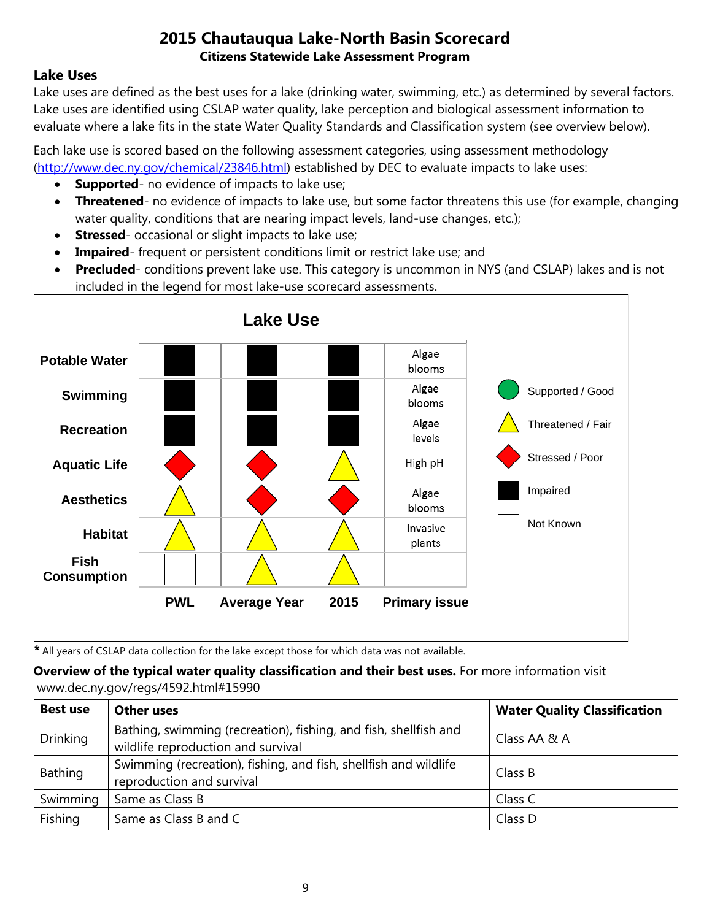### **Lake Uses**

Lake uses are defined as the best uses for a lake (drinking water, swimming, etc.) as determined by several factors. Lake uses are identified using CSLAP water quality, lake perception and biological assessment information to evaluate where a lake fits in the state Water Quality Standards and Classification system (see overview below).

Each lake use is scored based on the following assessment categories, using assessment methodology [\(http://www.dec.ny.gov/chemical/23846.html\)](http://www.dec.ny.gov/chemical/23846.html) established by DEC to evaluate impacts to lake uses:

- **Supported** no evidence of impacts to lake use;
- **Threatened** no evidence of impacts to lake use, but some factor threatens this use (for example, changing water quality, conditions that are nearing impact levels, land-use changes, etc.);
- **Stressed** occasional or slight impacts to lake use;
- **Impaired** frequent or persistent conditions limit or restrict lake use; and
- **Precluded** conditions prevent lake use. This category is uncommon in NYS (and CSLAP) lakes and is not included in the legend for most lake-use scorecard assessments.



*\** All years of CSLAP data collection for the lake except those for which data was not available.

#### **Overview of the typical water quality classification and their best uses.** For more information visit www.dec.ny.gov/regs/4592.html#15990

| <b>Best use</b> | <b>Other uses</b>                                                                                      | <b>Water Quality Classification</b> |
|-----------------|--------------------------------------------------------------------------------------------------------|-------------------------------------|
| <b>Drinking</b> | Bathing, swimming (recreation), fishing, and fish, shellfish and<br>wildlife reproduction and survival | Class AA & A                        |
| Bathing         | Swimming (recreation), fishing, and fish, shellfish and wildlife<br>reproduction and survival          | Class B                             |
| Swimming        | Same as Class B                                                                                        | Class C                             |
| Fishing         | Same as Class B and C                                                                                  | Class D                             |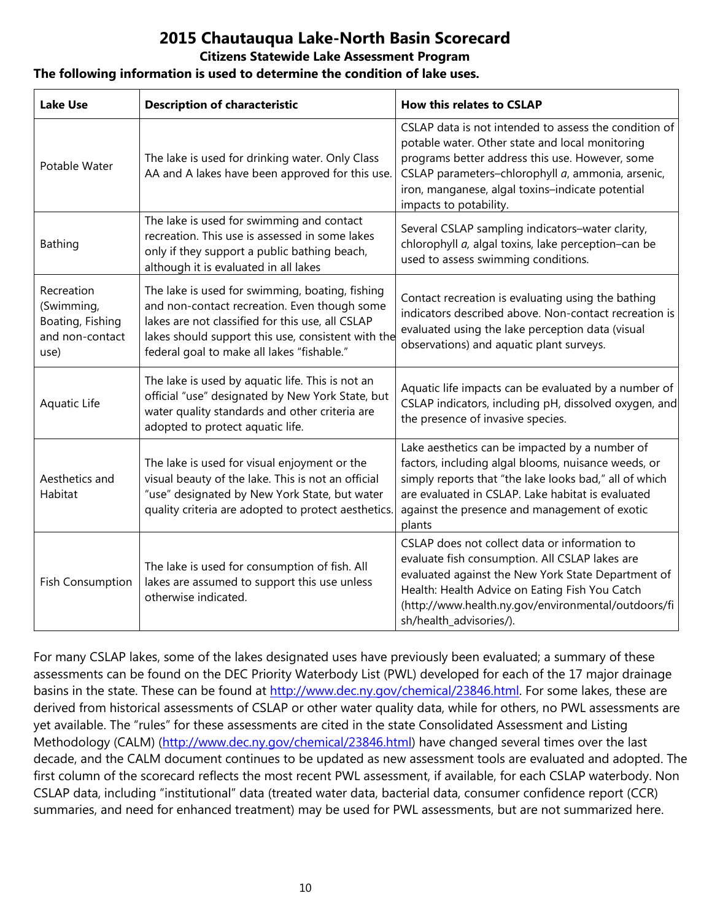#### **Citizens Statewide Lake Assessment Program**

#### **The following information is used to determine the condition of lake uses.**

| <b>Lake Use</b>                                                         | <b>Description of characteristic</b>                                                                                                                                                                                                                    | <b>How this relates to CSLAP</b>                                                                                                                                                                                                                                                               |  |
|-------------------------------------------------------------------------|---------------------------------------------------------------------------------------------------------------------------------------------------------------------------------------------------------------------------------------------------------|------------------------------------------------------------------------------------------------------------------------------------------------------------------------------------------------------------------------------------------------------------------------------------------------|--|
| Potable Water                                                           | The lake is used for drinking water. Only Class<br>AA and A lakes have been approved for this use.                                                                                                                                                      | CSLAP data is not intended to assess the condition of<br>potable water. Other state and local monitoring<br>programs better address this use. However, some<br>CSLAP parameters-chlorophyll a, ammonia, arsenic,<br>iron, manganese, algal toxins-indicate potential<br>impacts to potability. |  |
| Bathing                                                                 | The lake is used for swimming and contact<br>recreation. This use is assessed in some lakes<br>only if they support a public bathing beach,<br>although it is evaluated in all lakes                                                                    | Several CSLAP sampling indicators-water clarity,<br>chlorophyll a, algal toxins, lake perception-can be<br>used to assess swimming conditions.                                                                                                                                                 |  |
| Recreation<br>(Swimming,<br>Boating, Fishing<br>and non-contact<br>use) | The lake is used for swimming, boating, fishing<br>and non-contact recreation. Even though some<br>lakes are not classified for this use, all CSLAP<br>lakes should support this use, consistent with the<br>federal goal to make all lakes "fishable." | Contact recreation is evaluating using the bathing<br>indicators described above. Non-contact recreation is<br>evaluated using the lake perception data (visual<br>observations) and aquatic plant surveys.                                                                                    |  |
| Aquatic Life                                                            | The lake is used by aquatic life. This is not an<br>official "use" designated by New York State, but<br>water quality standards and other criteria are<br>adopted to protect aquatic life.                                                              | Aquatic life impacts can be evaluated by a number of<br>CSLAP indicators, including pH, dissolved oxygen, and<br>the presence of invasive species.                                                                                                                                             |  |
| Aesthetics and<br>Habitat                                               | The lake is used for visual enjoyment or the<br>visual beauty of the lake. This is not an official<br>"use" designated by New York State, but water<br>quality criteria are adopted to protect aesthetics.                                              | Lake aesthetics can be impacted by a number of<br>factors, including algal blooms, nuisance weeds, or<br>simply reports that "the lake looks bad," all of which<br>are evaluated in CSLAP. Lake habitat is evaluated<br>against the presence and management of exotic<br>plants                |  |
| <b>Fish Consumption</b>                                                 | The lake is used for consumption of fish. All<br>lakes are assumed to support this use unless<br>otherwise indicated.                                                                                                                                   | CSLAP does not collect data or information to<br>evaluate fish consumption. All CSLAP lakes are<br>evaluated against the New York State Department of<br>Health: Health Advice on Eating Fish You Catch<br>(http://www.health.ny.gov/environmental/outdoors/fi<br>sh/health_advisories/).      |  |

For many CSLAP lakes, some of the lakes designated uses have previously been evaluated; a summary of these assessments can be found on the DEC Priority Waterbody List (PWL) developed for each of the 17 major drainage basins in the state. These can be found at [http://www.dec.ny.gov/chemical/23846.html.](http://www.dec.ny.gov/chemical/23846.html) For some lakes, these are derived from historical assessments of CSLAP or other water quality data, while for others, no PWL assessments are yet available. The "rules" for these assessments are cited in the state Consolidated Assessment and Listing Methodology (CALM) [\(http://www.dec.ny.gov/chemical/23846.html\)](http://www.dec.ny.gov/chemical/23846.html) have changed several times over the last decade, and the CALM document continues to be updated as new assessment tools are evaluated and adopted. The first column of the scorecard reflects the most recent PWL assessment, if available, for each CSLAP waterbody. Non CSLAP data, including "institutional" data (treated water data, bacterial data, consumer confidence report (CCR) summaries, and need for enhanced treatment) may be used for PWL assessments, but are not summarized here.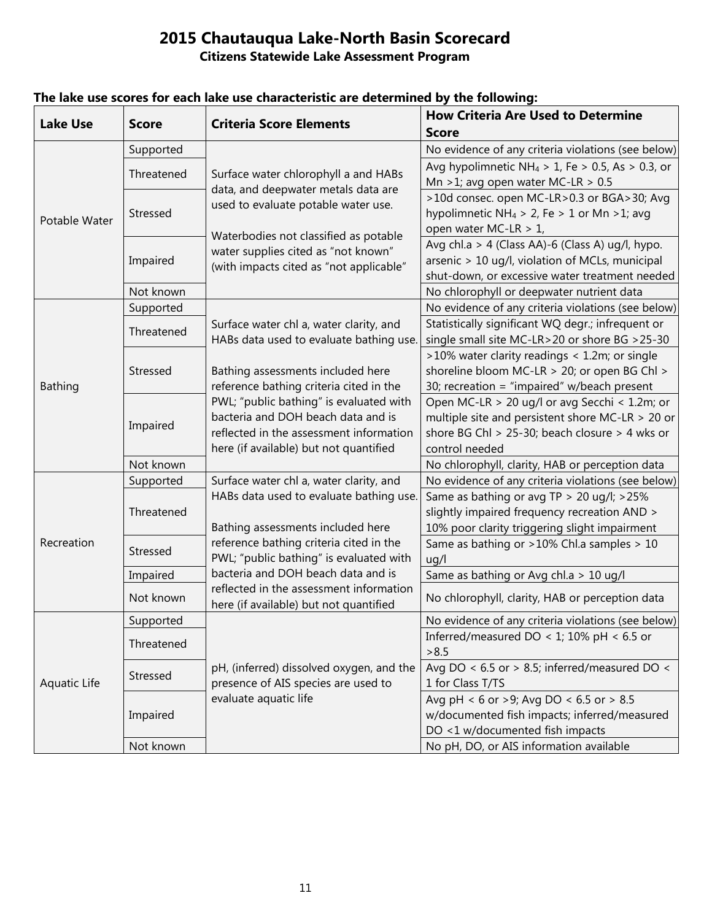|                 |              | ARE NOC SHUTUS                           | a wy vne ronownig.<br><b>How Criteria Are Used to Determine</b>                               |
|-----------------|--------------|------------------------------------------|-----------------------------------------------------------------------------------------------|
| <b>Lake Use</b> | <b>Score</b> | <b>Criteria Score Elements</b>           | <b>Score</b>                                                                                  |
|                 | Supported    | Surface water chlorophyll a and HABs     | No evidence of any criteria violations (see below)                                            |
|                 | Threatened   |                                          | Avg hypolimnetic NH <sub>4</sub> > 1, Fe > 0.5, As > 0.3, or                                  |
|                 |              | data, and deepwater metals data are      | Mn > 1; avg open water MC-LR > $0.5$                                                          |
|                 |              | used to evaluate potable water use.      | >10d consec. open MC-LR>0.3 or BGA>30; Avg                                                    |
| Potable Water   | Stressed     |                                          | hypolimnetic NH <sub>4</sub> > 2, Fe > 1 or Mn > 1; avg                                       |
|                 |              | Waterbodies not classified as potable    | open water MC-LR > 1,                                                                         |
|                 |              | water supplies cited as "not known"      | Avg chl.a > 4 (Class AA)-6 (Class A) ug/l, hypo.                                              |
|                 | Impaired     | (with impacts cited as "not applicable"  | arsenic > 10 ug/l, violation of MCLs, municipal                                               |
|                 |              |                                          | shut-down, or excessive water treatment needed                                                |
|                 | Not known    |                                          | No chlorophyll or deepwater nutrient data                                                     |
|                 | Supported    |                                          | No evidence of any criteria violations (see below)                                            |
|                 | Threatened   | Surface water chl a, water clarity, and  | Statistically significant WQ degr.; infrequent or                                             |
|                 |              | HABs data used to evaluate bathing use.  | single small site MC-LR>20 or shore BG >25-30                                                 |
|                 | Stressed     | Bathing assessments included here        | >10% water clarity readings < 1.2m; or single<br>shoreline bloom MC-LR > 20; or open BG Chl > |
| Bathing         |              | reference bathing criteria cited in the  | 30; recreation = "impaired" w/beach present                                                   |
|                 |              | PWL; "public bathing" is evaluated with  | Open MC-LR > 20 ug/l or avg Secchi < 1.2m; or                                                 |
|                 | Impaired     | bacteria and DOH beach data and is       | multiple site and persistent shore MC-LR $>$ 20 or                                            |
|                 |              | reflected in the assessment information  | shore BG Chl > 25-30; beach closure > 4 wks or                                                |
|                 |              | here (if available) but not quantified   | control needed                                                                                |
|                 | Not known    |                                          | No chlorophyll, clarity, HAB or perception data                                               |
|                 | Supported    | Surface water chl a, water clarity, and  | No evidence of any criteria violations (see below)                                            |
|                 |              | HABs data used to evaluate bathing use.  | Same as bathing or avg TP > 20 ug/l; >25%                                                     |
|                 | Threatened   | Bathing assessments included here        | slightly impaired frequency recreation AND >                                                  |
|                 |              |                                          | 10% poor clarity triggering slight impairment                                                 |
| Recreation      | Stressed     | reference bathing criteria cited in the  | Same as bathing or >10% Chl.a samples > 10                                                    |
|                 |              | PWL; "public bathing" is evaluated with  | ug/l                                                                                          |
|                 | Impaired     | bacteria and DOH beach data and is       | Same as bathing or Avg chl.a > 10 ug/l                                                        |
|                 | Not known    | reflected in the assessment information  | No chlorophyll, clarity, HAB or perception data                                               |
|                 | Supported    | here (if available) but not quantified   | No evidence of any criteria violations (see below)                                            |
|                 |              |                                          | Inferred/measured DO < 1; 10% pH < 6.5 or                                                     |
|                 | Threatened   |                                          | > 8.5                                                                                         |
|                 |              | pH, (inferred) dissolved oxygen, and the | Avg DO < $6.5$ or > 8.5; inferred/measured DO <                                               |
| Aquatic Life    | Stressed     | presence of AIS species are used to      | 1 for Class T/TS                                                                              |
|                 |              | evaluate aquatic life                    | Avg pH < 6 or >9; Avg DO < 6.5 or > 8.5                                                       |
|                 | Impaired     |                                          | w/documented fish impacts; inferred/measured                                                  |
|                 |              |                                          | DO <1 w/documented fish impacts                                                               |
|                 | Not known    |                                          | No pH, DO, or AIS information available                                                       |

## **The lake use scores for each lake use characteristic are determined by the following:**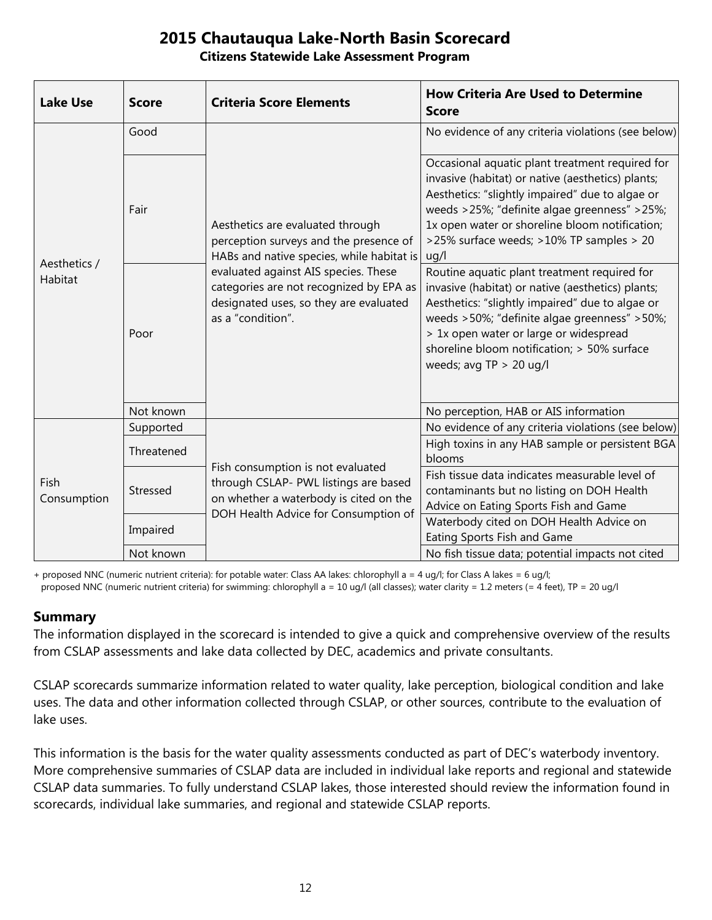#### **Citizens Statewide Lake Assessment Program**

| <b>Lake Use</b>         | <b>Score</b> | <b>Criteria Score Elements</b>                                                                                                                                                                                                                                            | <b>How Criteria Are Used to Determine</b><br><b>Score</b>                                                                                                                                                                                                                                                                    |
|-------------------------|--------------|---------------------------------------------------------------------------------------------------------------------------------------------------------------------------------------------------------------------------------------------------------------------------|------------------------------------------------------------------------------------------------------------------------------------------------------------------------------------------------------------------------------------------------------------------------------------------------------------------------------|
| Aesthetics /<br>Habitat | Good         | Aesthetics are evaluated through<br>perception surveys and the presence of<br>HABs and native species, while habitat is<br>evaluated against AIS species. These<br>categories are not recognized by EPA as<br>designated uses, so they are evaluated<br>as a "condition". | No evidence of any criteria violations (see below)                                                                                                                                                                                                                                                                           |
|                         | Fair         |                                                                                                                                                                                                                                                                           | Occasional aquatic plant treatment required for<br>invasive (habitat) or native (aesthetics) plants;<br>Aesthetics: "slightly impaired" due to algae or<br>weeds >25%; "definite algae greenness" >25%;<br>1x open water or shoreline bloom notification;<br>>25% surface weeds; >10% TP samples > 20<br>uq/l                |
|                         | Poor         |                                                                                                                                                                                                                                                                           | Routine aquatic plant treatment required for<br>invasive (habitat) or native (aesthetics) plants;<br>Aesthetics: "slightly impaired" due to algae or<br>weeds > 50%; "definite algae greenness" > 50%;<br>> 1x open water or large or widespread<br>shoreline bloom notification; > 50% surface<br>weeds; avg $TP > 20$ ug/l |
|                         | Not known    |                                                                                                                                                                                                                                                                           | No perception, HAB or AIS information                                                                                                                                                                                                                                                                                        |
| Fish<br>Consumption     | Supported    | Fish consumption is not evaluated<br>through CSLAP- PWL listings are based<br>on whether a waterbody is cited on the<br>DOH Health Advice for Consumption of                                                                                                              | No evidence of any criteria violations (see below)                                                                                                                                                                                                                                                                           |
|                         | Threatened   |                                                                                                                                                                                                                                                                           | High toxins in any HAB sample or persistent BGA<br>blooms                                                                                                                                                                                                                                                                    |
|                         | Stressed     |                                                                                                                                                                                                                                                                           | Fish tissue data indicates measurable level of<br>contaminants but no listing on DOH Health<br>Advice on Eating Sports Fish and Game                                                                                                                                                                                         |
|                         | Impaired     |                                                                                                                                                                                                                                                                           | Waterbody cited on DOH Health Advice on<br>Eating Sports Fish and Game                                                                                                                                                                                                                                                       |
|                         | Not known    |                                                                                                                                                                                                                                                                           | No fish tissue data; potential impacts not cited                                                                                                                                                                                                                                                                             |

+ proposed NNC (numeric nutrient criteria): for potable water: Class AA lakes: chlorophyll a = 4 ug/l; for Class A lakes = 6 ug/l; proposed NNC (numeric nutrient criteria) for swimming: chlorophyll a = 10 ug/l (all classes); water clarity = 1.2 meters (= 4 feet), TP = 20 ug/l

#### **Summary**

The information displayed in the scorecard is intended to give a quick and comprehensive overview of the results from CSLAP assessments and lake data collected by DEC, academics and private consultants.

CSLAP scorecards summarize information related to water quality, lake perception, biological condition and lake uses. The data and other information collected through CSLAP, or other sources, contribute to the evaluation of lake uses.

This information is the basis for the water quality assessments conducted as part of DEC's waterbody inventory. More comprehensive summaries of CSLAP data are included in individual lake reports and regional and statewide CSLAP data summaries. To fully understand CSLAP lakes, those interested should review the information found in scorecards, individual lake summaries, and regional and statewide CSLAP reports.